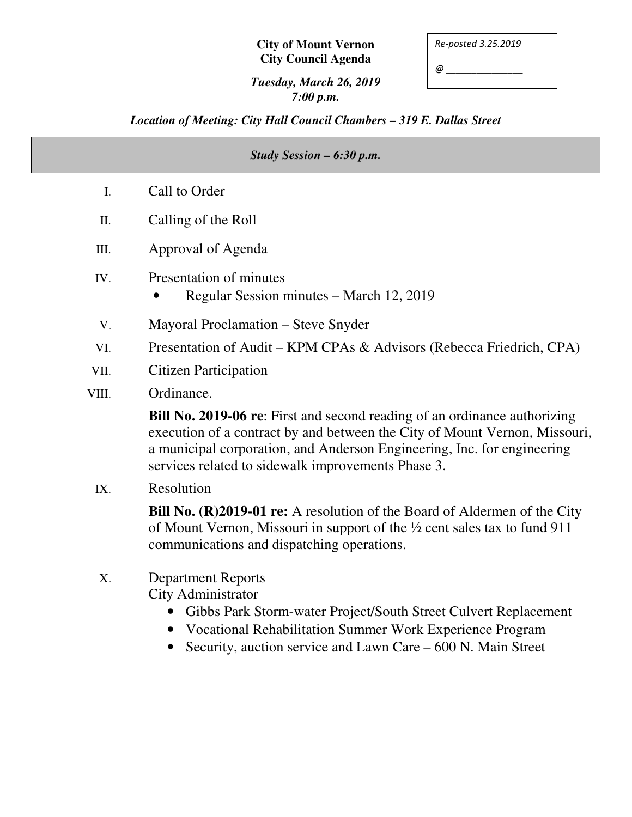#### **City of Mount Vernon City Council Agenda**

*Re-posted 3.25.2019* 

*@ \_\_\_\_\_\_\_\_\_\_\_\_\_\_\_* 

### *Tuesday, March 26, 2019 7:00 p.m.*

## *Location of Meeting: City Hall Council Chambers – 319 E. Dallas Street*

| Study Session - 6:30 p.m. |                                                                                                                                                                                                                                                                                                 |
|---------------------------|-------------------------------------------------------------------------------------------------------------------------------------------------------------------------------------------------------------------------------------------------------------------------------------------------|
| I.                        | Call to Order                                                                                                                                                                                                                                                                                   |
| II.                       | Calling of the Roll                                                                                                                                                                                                                                                                             |
| III.                      | Approval of Agenda                                                                                                                                                                                                                                                                              |
| IV.                       | Presentation of minutes<br>Regular Session minutes - March 12, 2019                                                                                                                                                                                                                             |
| V.                        | Mayoral Proclamation – Steve Snyder                                                                                                                                                                                                                                                             |
| VI.                       | Presentation of Audit – KPM CPAs & Advisors (Rebecca Friedrich, CPA)                                                                                                                                                                                                                            |
| VII.                      | <b>Citizen Participation</b>                                                                                                                                                                                                                                                                    |
| VIII.                     | Ordinance.                                                                                                                                                                                                                                                                                      |
|                           | <b>Bill No. 2019-06 re:</b> First and second reading of an ordinance authorizing<br>execution of a contract by and between the City of Mount Vernon, Missouri,<br>a municipal corporation, and Anderson Engineering, Inc. for engineering<br>services related to sidewalk improvements Phase 3. |
| IX.                       | Resolution                                                                                                                                                                                                                                                                                      |
|                           | Bill No. (R)2019-01 re: A resolution of the Board of Aldermen of the City<br>of Mount Vernon, Missouri in support of the 1/2 cent sales tax to fund 911<br>communications and dispatching operations.                                                                                           |
| X.                        | <b>Department Reports</b><br><b>City Administrator</b><br>Gibbs Park Storm-water Project/South Street Culvert Replacement<br>Vocational Rehabilitation Summer Work Experience Program                                                                                                           |

• Security, auction service and Lawn Care – 600 N. Main Street